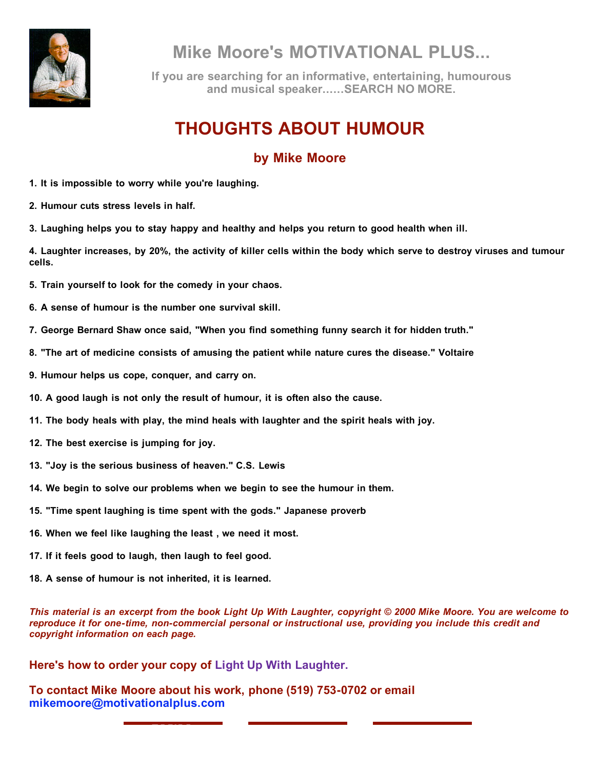

**Mike Moore's MOTIVATIONAL PLUS...**

**If you are searching for an informative, entertaining, humourous and musical speaker......SEARCH NO MORE.**

## **THOUGHTS ABOUT HUMOUR**

## **by Mike Moore**

**1. It is impossible to worry while you're laughing.**

**2. Humour cuts stress levels in half.**

**3. Laughing helps you to stay happy and healthy and helps you return to good health when ill.**

4. Laughter increases, by 20%, the activity of killer cells within the body which serve to destroy viruses and tumour **cells.**

- **5. Train yourself to look for the comedy in your chaos.**
- **6. A sense of humour is the number one survival skill.**
- **7. George Bernard Shaw once said, "When you find something funny search it for hidden truth."**
- **8. "The art of medicine consists of amusing the patient while nature cures the disease." Voltaire**
- **9. Humour helps us cope, conquer, and carry on.**
- **10. A good laugh is not only the result of humour, it is often also the cause.**
- **11. The body heals with play, the mind heals with laughter and the spirit heals with joy.**
- **12. The best exercise is jumping for joy.**
- **13. "Joy is the serious business of heaven." C.S. Lewis**
- **14. We begin to solve our problems when we begin to see the humour in them.**
- **15. "Time spent laughing is time spent with the gods." Japanese proverb**
- **16. When we feel like laughing the least , we need it most.**
- **17. If it feels good to laugh, then laugh to feel good.**
- **18. A sense of humour is not inherited, it is learned.**

This material is an excerpt from the book Light Up With Laughter, copyright © 2000 Mike Moore. You are welcome to *reproduce it for one-time, non-commercial personal or instructional use, providing you include this credit and copyright information on each page.*

**Here's how to order your copy of Light Up With Laughter.**

**To contact Mike Moore about his work, phone (519) 753-0702 or email mikemoore@motivationalplus.com**